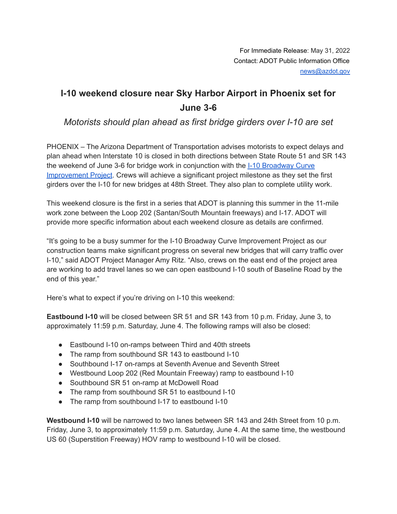## **I-10 weekend closure near Sky Harbor Airport in Phoenix set for June 3-6**

*Motorists should plan ahead as first bridge girders over I-10 are set*

PHOENIX – The Arizona Department of Transportation advises motorists to expect delays and plan ahead when Interstate 10 is closed in both directions between State Route 51 and SR 143 the weekend of June 3-6 for bridge work in conjunction with the I-10 [Broadway](https://i10broadwaycurve.com/) Curve [Improvement](https://i10broadwaycurve.com/) Project. Crews will achieve a significant project milestone as they set the first girders over the I-10 for new bridges at 48th Street. They also plan to complete utility work.

This weekend closure is the first in a series that ADOT is planning this summer in the 11-mile work zone between the Loop 202 (Santan/South Mountain freeways) and I-17. ADOT will provide more specific information about each weekend closure as details are confirmed.

"It's going to be a busy summer for the I-10 Broadway Curve Improvement Project as our construction teams make significant progress on several new bridges that will carry traffic over I-10," said ADOT Project Manager Amy Ritz. "Also, crews on the east end of the project area are working to add travel lanes so we can open eastbound I-10 south of Baseline Road by the end of this year."

Here's what to expect if you're driving on I-10 this weekend:

**Eastbound I-10** will be closed between SR 51 and SR 143 from 10 p.m. Friday, June 3, to approximately 11:59 p.m. Saturday, June 4. The following ramps will also be closed:

- Eastbound I-10 on-ramps between Third and 40th streets
- The ramp from southbound SR 143 to eastbound I-10
- Southbound I-17 on-ramps at Seventh Avenue and Seventh Street
- Westbound Loop 202 (Red Mountain Freeway) ramp to eastbound I-10
- Southbound SR 51 on-ramp at McDowell Road
- The ramp from southbound SR 51 to eastbound I-10
- The ramp from southbound I-17 to eastbound I-10

**Westbound I-10** will be narrowed to two lanes between SR 143 and 24th Street from 10 p.m. Friday, June 3, to approximately 11:59 p.m. Saturday, June 4. At the same time, the westbound US 60 (Superstition Freeway) HOV ramp to westbound I-10 will be closed.